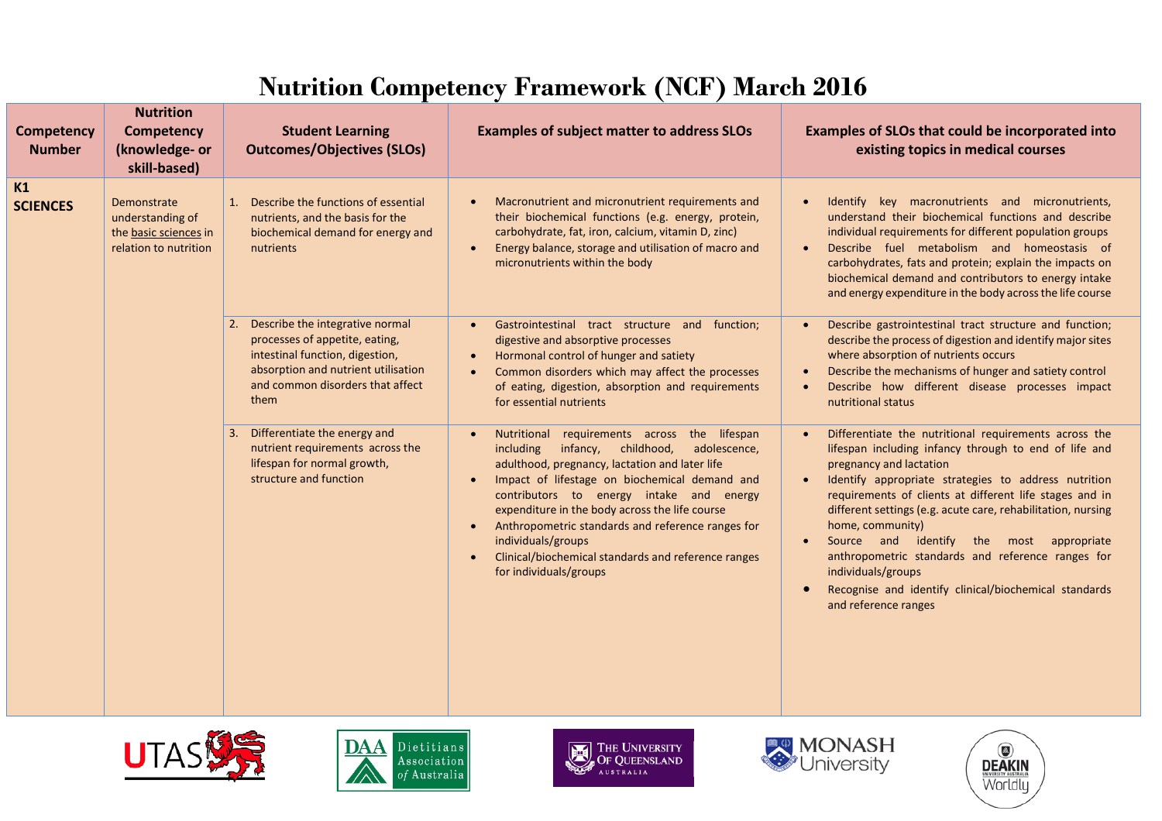## **Nutrition Competency Framework (NCF) March 2016**

| <b>Competency</b><br><b>Number</b> | <b>Nutrition</b><br><b>Competency</b><br>(knowledge- or<br>skill-based)           | <b>Student Learning</b><br><b>Outcomes/Objectives (SLOs)</b>                                                                                                                            | <b>Examples of subject matter to address SLOs</b>                                                                                                                                                                                                                                                                                                                                                                                                                                                    | <b>Examples of SLOs that could be incorporated into</b><br>existing topics in medical courses                                                                                                                                                                                                                                                                                                                                                                                                                                                            |
|------------------------------------|-----------------------------------------------------------------------------------|-----------------------------------------------------------------------------------------------------------------------------------------------------------------------------------------|------------------------------------------------------------------------------------------------------------------------------------------------------------------------------------------------------------------------------------------------------------------------------------------------------------------------------------------------------------------------------------------------------------------------------------------------------------------------------------------------------|----------------------------------------------------------------------------------------------------------------------------------------------------------------------------------------------------------------------------------------------------------------------------------------------------------------------------------------------------------------------------------------------------------------------------------------------------------------------------------------------------------------------------------------------------------|
| K1<br><b>SCIENCES</b>              | Demonstrate<br>understanding of<br>the basic sciences in<br>relation to nutrition | Describe the functions of essential<br>1.<br>nutrients, and the basis for the<br>biochemical demand for energy and<br>nutrients                                                         | Macronutrient and micronutrient requirements and<br>their biochemical functions (e.g. energy, protein,<br>carbohydrate, fat, iron, calcium, vitamin D, zinc)<br>Energy balance, storage and utilisation of macro and<br>$\bullet$<br>micronutrients within the body                                                                                                                                                                                                                                  | Identify key macronutrients and micronutrients,<br>understand their biochemical functions and describe<br>individual requirements for different population groups<br>Describe fuel metabolism and homeostasis of<br>carbohydrates, fats and protein; explain the impacts on<br>biochemical demand and contributors to energy intake<br>and energy expenditure in the body across the life course                                                                                                                                                         |
|                                    |                                                                                   | Describe the integrative normal<br>processes of appetite, eating,<br>intestinal function, digestion,<br>absorption and nutrient utilisation<br>and common disorders that affect<br>them | Gastrointestinal tract structure and function;<br>digestive and absorptive processes<br>Hormonal control of hunger and satiety<br>$\bullet$<br>Common disorders which may affect the processes<br>$\bullet$<br>of eating, digestion, absorption and requirements<br>for essential nutrients                                                                                                                                                                                                          | Describe gastrointestinal tract structure and function;<br>describe the process of digestion and identify major sites<br>where absorption of nutrients occurs<br>Describe the mechanisms of hunger and satiety control<br>Describe how different disease processes impact<br>nutritional status                                                                                                                                                                                                                                                          |
|                                    |                                                                                   | Differentiate the energy and<br>nutrient requirements across the<br>lifespan for normal growth,<br>structure and function                                                               | Nutritional requirements across the lifespan<br>including<br>infancy, childhood,<br>adolescence,<br>adulthood, pregnancy, lactation and later life<br>Impact of lifestage on biochemical demand and<br>$\bullet$<br>contributors to energy intake and energy<br>expenditure in the body across the life course<br>Anthropometric standards and reference ranges for<br>$\bullet$<br>individuals/groups<br>Clinical/biochemical standards and reference ranges<br>$\bullet$<br>for individuals/groups | Differentiate the nutritional requirements across the<br>lifespan including infancy through to end of life and<br>pregnancy and lactation<br>Identify appropriate strategies to address nutrition<br>requirements of clients at different life stages and in<br>different settings (e.g. acute care, rehabilitation, nursing<br>home, community)<br>Source and identify the most appropriate<br>anthropometric standards and reference ranges for<br>individuals/groups<br>Recognise and identify clinical/biochemical standards<br>and reference ranges |









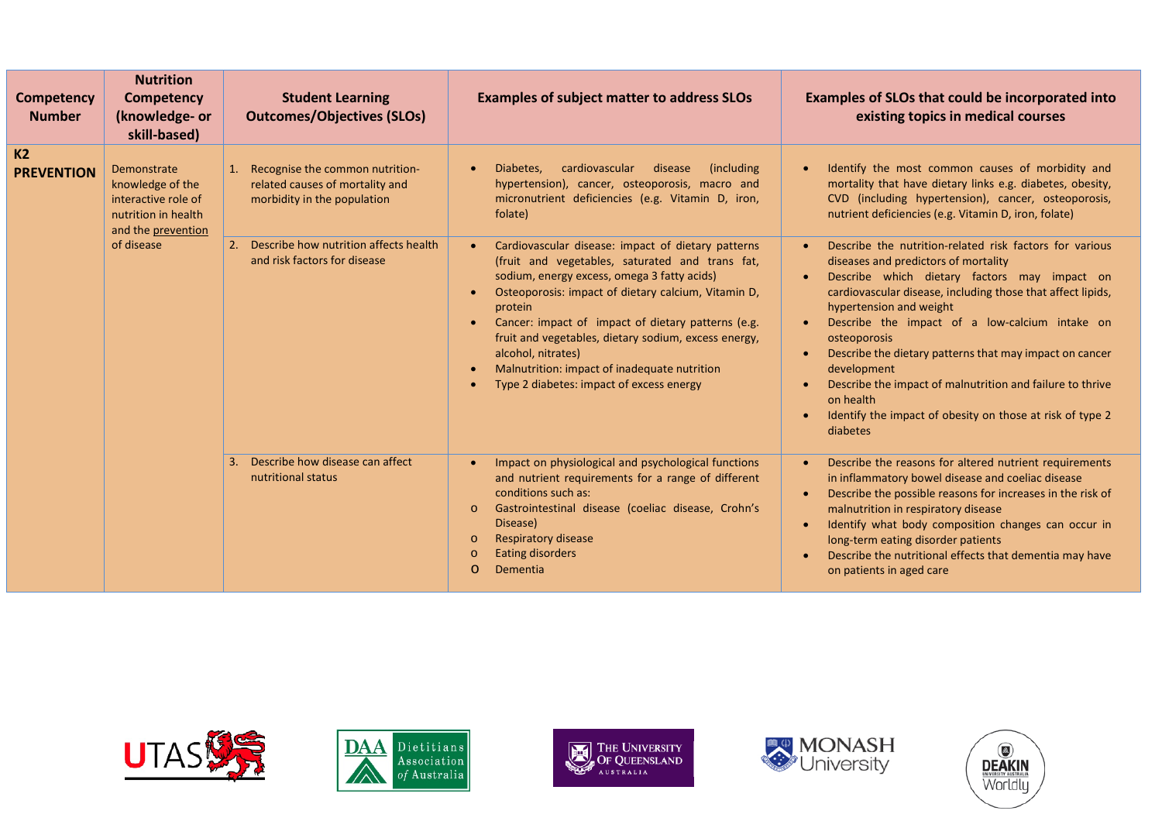| <b>Competency</b><br><b>Number</b>  | <b>Nutrition</b><br><b>Competency</b><br>(knowledge- or<br>skill-based)                             | <b>Student Learning</b><br><b>Outcomes/Objectives (SLOs)</b>                                      | <b>Examples of subject matter to address SLOs</b>                                                                                                                                                                                                                                                                                                                                                                                                                                | <b>Examples of SLOs that could be incorporated into</b><br>existing topics in medical courses                                                                                                                                                                                                                                                                                                                                                                                                                                                         |
|-------------------------------------|-----------------------------------------------------------------------------------------------------|---------------------------------------------------------------------------------------------------|----------------------------------------------------------------------------------------------------------------------------------------------------------------------------------------------------------------------------------------------------------------------------------------------------------------------------------------------------------------------------------------------------------------------------------------------------------------------------------|-------------------------------------------------------------------------------------------------------------------------------------------------------------------------------------------------------------------------------------------------------------------------------------------------------------------------------------------------------------------------------------------------------------------------------------------------------------------------------------------------------------------------------------------------------|
| K <sub>2</sub><br><b>PREVENTION</b> | Demonstrate<br>knowledge of the<br>interactive role of<br>nutrition in health<br>and the prevention | Recognise the common nutrition-<br>related causes of mortality and<br>morbidity in the population | cardiovascular<br>disease<br>(including)<br>Diabetes,<br>$\bullet$<br>hypertension), cancer, osteoporosis, macro and<br>micronutrient deficiencies (e.g. Vitamin D, iron,<br>folate)                                                                                                                                                                                                                                                                                             | Identify the most common causes of morbidity and<br>mortality that have dietary links e.g. diabetes, obesity,<br>CVD (including hypertension), cancer, osteoporosis,<br>nutrient deficiencies (e.g. Vitamin D, iron, folate)                                                                                                                                                                                                                                                                                                                          |
|                                     | of disease                                                                                          | 2. Describe how nutrition affects health<br>and risk factors for disease                          | Cardiovascular disease: impact of dietary patterns<br>(fruit and vegetables, saturated and trans fat,<br>sodium, energy excess, omega 3 fatty acids)<br>Osteoporosis: impact of dietary calcium, Vitamin D,<br>protein<br>Cancer: impact of impact of dietary patterns (e.g.<br>$\bullet$<br>fruit and vegetables, dietary sodium, excess energy,<br>alcohol, nitrates)<br>Malnutrition: impact of inadequate nutrition<br>$\bullet$<br>Type 2 diabetes: impact of excess energy | Describe the nutrition-related risk factors for various<br>diseases and predictors of mortality<br>Describe which dietary factors may impact on<br>cardiovascular disease, including those that affect lipids,<br>hypertension and weight<br>Describe the impact of a low-calcium intake on<br>osteoporosis<br>Describe the dietary patterns that may impact on cancer<br>development<br>Describe the impact of malnutrition and failure to thrive<br>$\bullet$<br>on health<br>Identify the impact of obesity on those at risk of type 2<br>diabetes |
|                                     |                                                                                                     | Describe how disease can affect<br>nutritional status                                             | Impact on physiological and psychological functions<br>and nutrient requirements for a range of different<br>conditions such as:<br>Gastrointestinal disease (coeliac disease, Crohn's<br>$\circ$<br>Disease)<br>Respiratory disease<br>$\circ$<br><b>Eating disorders</b><br>$\circ$<br>Dementia<br>$\circ$                                                                                                                                                                     | Describe the reasons for altered nutrient requirements<br>in inflammatory bowel disease and coeliac disease<br>Describe the possible reasons for increases in the risk of<br>malnutrition in respiratory disease<br>Identify what body composition changes can occur in<br>$\bullet$<br>long-term eating disorder patients<br>Describe the nutritional effects that dementia may have<br>on patients in aged care                                                                                                                                     |









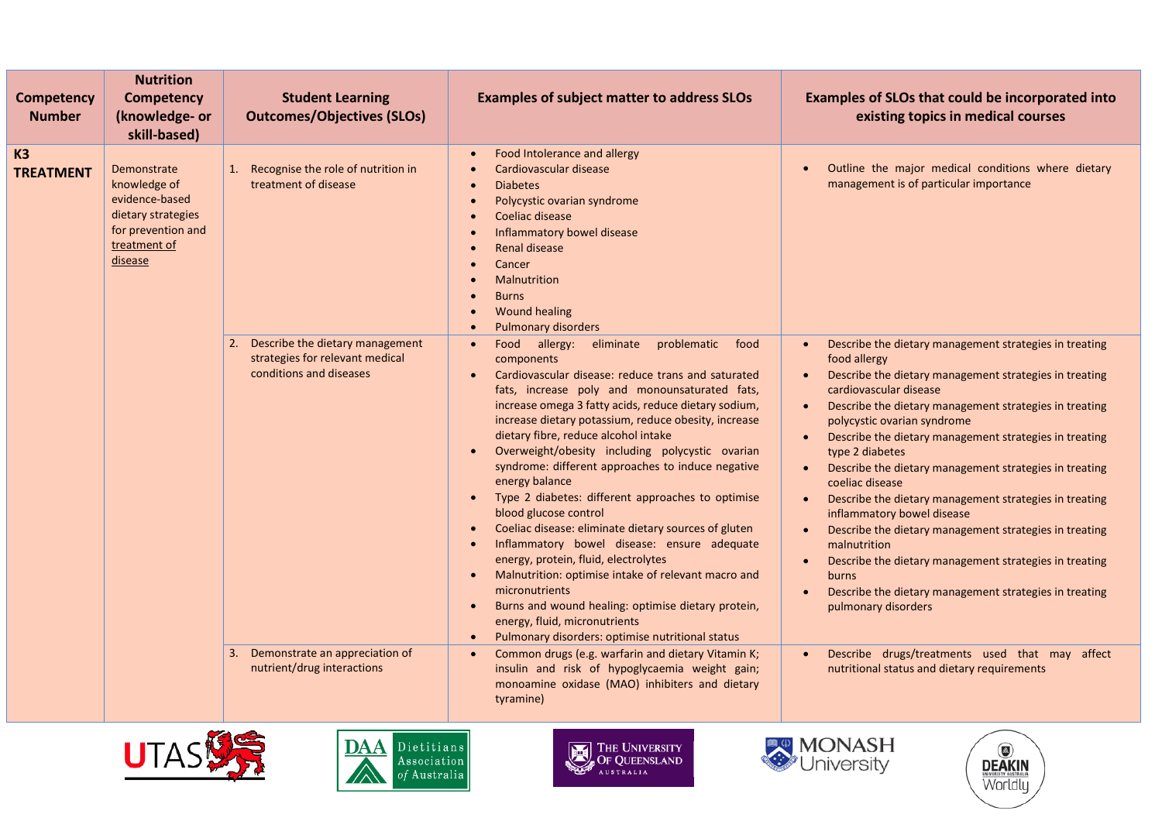| <b>Competency</b><br><b>Number</b> | <b>Nutrition</b><br><b>Competency</b><br>(knowledge- or<br>skill-based)                                              | <b>Student Learning</b><br><b>Outcomes/Objectives (SLOs)</b>                                                                                                           | <b>Examples of subject matter to address SLOs</b>                                                                                                                                                                                                                                                                                                                                                                                                                                                                                                                                                                                                                                                                                                                                                                                                                                                                                                                                                                                                                                                                                                                                                               | Examples of SLOs that could be incorporated into<br>existing topics in medical courses                                                                                                                                                                                                                                                                                                                                                                                                                                                                                                                                                                                                                                                                                                                                                                                                                                                                                 |
|------------------------------------|----------------------------------------------------------------------------------------------------------------------|------------------------------------------------------------------------------------------------------------------------------------------------------------------------|-----------------------------------------------------------------------------------------------------------------------------------------------------------------------------------------------------------------------------------------------------------------------------------------------------------------------------------------------------------------------------------------------------------------------------------------------------------------------------------------------------------------------------------------------------------------------------------------------------------------------------------------------------------------------------------------------------------------------------------------------------------------------------------------------------------------------------------------------------------------------------------------------------------------------------------------------------------------------------------------------------------------------------------------------------------------------------------------------------------------------------------------------------------------------------------------------------------------|------------------------------------------------------------------------------------------------------------------------------------------------------------------------------------------------------------------------------------------------------------------------------------------------------------------------------------------------------------------------------------------------------------------------------------------------------------------------------------------------------------------------------------------------------------------------------------------------------------------------------------------------------------------------------------------------------------------------------------------------------------------------------------------------------------------------------------------------------------------------------------------------------------------------------------------------------------------------|
| <b>K3</b><br><b>TREATMENT</b>      | Demonstrate<br>knowledge of<br>evidence-based<br>dietary strategies<br>for prevention and<br>treatment of<br>disease | 1. Recognise the role of nutrition in<br>treatment of disease                                                                                                          | Food Intolerance and allergy<br>$\bullet$<br>Cardiovascular disease<br>$\bullet$<br><b>Diabetes</b><br>$\bullet$<br>Polycystic ovarian syndrome<br>$\bullet$<br>Coeliac disease<br>$\bullet$<br>Inflammatory bowel disease<br>$\bullet$<br>Renal disease<br>$\bullet$<br>Cancer<br>$\bullet$<br><b>Malnutrition</b><br>$\bullet$<br><b>Burns</b><br>$\bullet$<br><b>Wound healing</b><br>$\bullet$<br>Pulmonary disorders<br>$\bullet$                                                                                                                                                                                                                                                                                                                                                                                                                                                                                                                                                                                                                                                                                                                                                                          | Outline the major medical conditions where dietary<br>$\bullet$<br>management is of particular importance                                                                                                                                                                                                                                                                                                                                                                                                                                                                                                                                                                                                                                                                                                                                                                                                                                                              |
|                                    |                                                                                                                      | 2. Describe the dietary management<br>strategies for relevant medical<br>conditions and diseases<br>Demonstrate an appreciation of<br>3.<br>nutrient/drug interactions | Food allergy: eliminate<br>problematic<br>food<br>$\bullet$<br>components<br>Cardiovascular disease: reduce trans and saturated<br>$\bullet$<br>fats, increase poly and monounsaturated fats,<br>increase omega 3 fatty acids, reduce dietary sodium,<br>increase dietary potassium, reduce obesity, increase<br>dietary fibre, reduce alcohol intake<br>Overweight/obesity including polycystic ovarian<br>$\bullet$<br>syndrome: different approaches to induce negative<br>energy balance<br>Type 2 diabetes: different approaches to optimise<br>$\bullet$<br>blood glucose control<br>Coeliac disease: eliminate dietary sources of gluten<br>$\bullet$<br>Inflammatory bowel disease: ensure adequate<br>$\bullet$<br>energy, protein, fluid, electrolytes<br>Malnutrition: optimise intake of relevant macro and<br>$\bullet$<br>micronutrients<br>Burns and wound healing: optimise dietary protein,<br>$\bullet$<br>energy, fluid, micronutrients<br>Pulmonary disorders: optimise nutritional status<br>$\bullet$<br>Common drugs (e.g. warfarin and dietary Vitamin K;<br>$\bullet$<br>insulin and risk of hypoglycaemia weight gain;<br>monoamine oxidase (MAO) inhibiters and dietary<br>tyramine) | Describe the dietary management strategies in treating<br>$\bullet$<br>food allergy<br>Describe the dietary management strategies in treating<br>$\bullet$<br>cardiovascular disease<br>Describe the dietary management strategies in treating<br>$\bullet$<br>polycystic ovarian syndrome<br>Describe the dietary management strategies in treating<br>$\bullet$<br>type 2 diabetes<br>Describe the dietary management strategies in treating<br>$\bullet$<br>coeliac disease<br>Describe the dietary management strategies in treating<br>$\bullet$<br>inflammatory bowel disease<br>Describe the dietary management strategies in treating<br>$\bullet$<br>malnutrition<br>Describe the dietary management strategies in treating<br>$\bullet$<br>burns<br>Describe the dietary management strategies in treating<br>$\bullet$<br>pulmonary disorders<br>Describe drugs/treatments used that may affect<br>$\bullet$<br>nutritional status and dietary requirements |





**THE UNIVERSITY**<br>OF QUEENSLAND



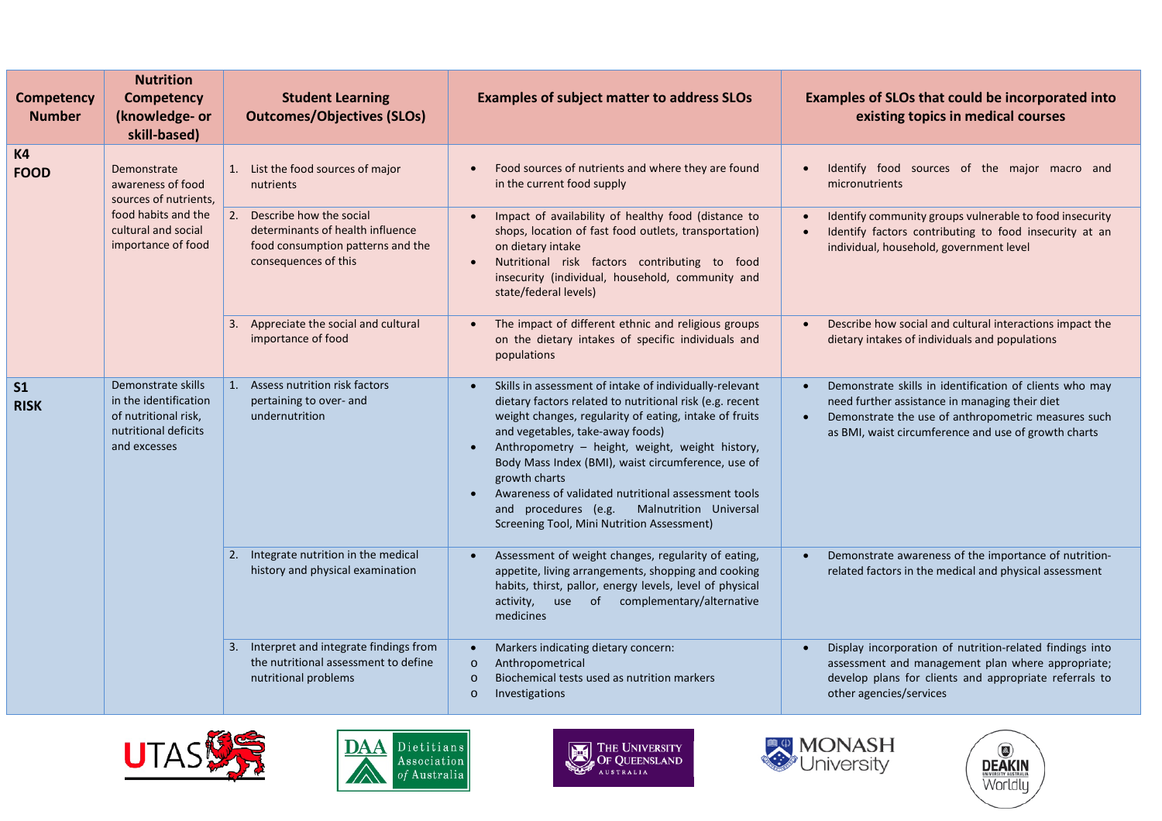| <b>Competency</b><br><b>Number</b> | <b>Nutrition</b><br><b>Competency</b><br>(knowledge- or<br>skill-based)                                                       | <b>Student Learning</b><br><b>Outcomes/Objectives (SLOs)</b>                                                                | <b>Examples of subject matter to address SLOs</b>                                                                                                                                                                                                                                                                                                                                                                                                                                                                                         | Examples of SLOs that could be incorporated into<br>existing topics in medical courses                                                                                                                                                             |
|------------------------------------|-------------------------------------------------------------------------------------------------------------------------------|-----------------------------------------------------------------------------------------------------------------------------|-------------------------------------------------------------------------------------------------------------------------------------------------------------------------------------------------------------------------------------------------------------------------------------------------------------------------------------------------------------------------------------------------------------------------------------------------------------------------------------------------------------------------------------------|----------------------------------------------------------------------------------------------------------------------------------------------------------------------------------------------------------------------------------------------------|
| <b>K4</b><br><b>FOOD</b>           | Demonstrate<br>awareness of food<br>sources of nutrients,<br>food habits and the<br>cultural and social<br>importance of food | 1. List the food sources of major<br>nutrients                                                                              | Food sources of nutrients and where they are found<br>$\bullet$<br>in the current food supply                                                                                                                                                                                                                                                                                                                                                                                                                                             | Identify food sources of the major macro and<br>$\bullet$<br>micronutrients                                                                                                                                                                        |
|                                    |                                                                                                                               | 2. Describe how the social<br>determinants of health influence<br>food consumption patterns and the<br>consequences of this | Impact of availability of healthy food (distance to<br>$\bullet$<br>shops, location of fast food outlets, transportation)<br>on dietary intake<br>Nutritional risk factors contributing to food<br>$\bullet$<br>insecurity (individual, household, community and<br>state/federal levels)                                                                                                                                                                                                                                                 | Identify community groups vulnerable to food insecurity<br>$\bullet$<br>Identify factors contributing to food insecurity at an<br>$\bullet$<br>individual, household, government level                                                             |
|                                    |                                                                                                                               | 3. Appreciate the social and cultural<br>importance of food                                                                 | The impact of different ethnic and religious groups<br>$\bullet$<br>on the dietary intakes of specific individuals and<br>populations                                                                                                                                                                                                                                                                                                                                                                                                     | Describe how social and cultural interactions impact the<br>$\bullet$<br>dietary intakes of individuals and populations                                                                                                                            |
| S <sub>1</sub><br><b>RISK</b>      | Demonstrate skills<br>in the identification<br>of nutritional risk,<br>nutritional deficits<br>and excesses                   | Assess nutrition risk factors<br>$\mathbf{1}$ .<br>pertaining to over- and<br>undernutrition                                | Skills in assessment of intake of individually-relevant<br>$\bullet$<br>dietary factors related to nutritional risk (e.g. recent<br>weight changes, regularity of eating, intake of fruits<br>and vegetables, take-away foods)<br>Anthropometry - height, weight, weight history,<br>$\bullet$<br>Body Mass Index (BMI), waist circumference, use of<br>growth charts<br>Awareness of validated nutritional assessment tools<br>$\bullet$<br>and procedures (e.g.<br>Malnutrition Universal<br>Screening Tool, Mini Nutrition Assessment) | Demonstrate skills in identification of clients who may<br>$\bullet$<br>need further assistance in managing their diet<br>Demonstrate the use of anthropometric measures such<br>$\bullet$<br>as BMI, waist circumference and use of growth charts |
|                                    |                                                                                                                               | 2. Integrate nutrition in the medical<br>history and physical examination                                                   | Assessment of weight changes, regularity of eating,<br>$\bullet$<br>appetite, living arrangements, shopping and cooking<br>habits, thirst, pallor, energy levels, level of physical<br>activity, use of complementary/alternative<br>medicines                                                                                                                                                                                                                                                                                            | Demonstrate awareness of the importance of nutrition-<br>$\bullet$<br>related factors in the medical and physical assessment                                                                                                                       |
|                                    |                                                                                                                               | Interpret and integrate findings from<br>3.<br>the nutritional assessment to define<br>nutritional problems                 | Markers indicating dietary concern:<br>$\bullet$<br>Anthropometrical<br>$\circ$<br>Biochemical tests used as nutrition markers<br>$\circ$<br>Investigations<br>$\circ$                                                                                                                                                                                                                                                                                                                                                                    | Display incorporation of nutrition-related findings into<br>$\bullet$<br>assessment and management plan where appropriate;<br>develop plans for clients and appropriate referrals to<br>other agencies/services                                    |





**THE UNIVERSITY**<br>OF QUEENSLAND



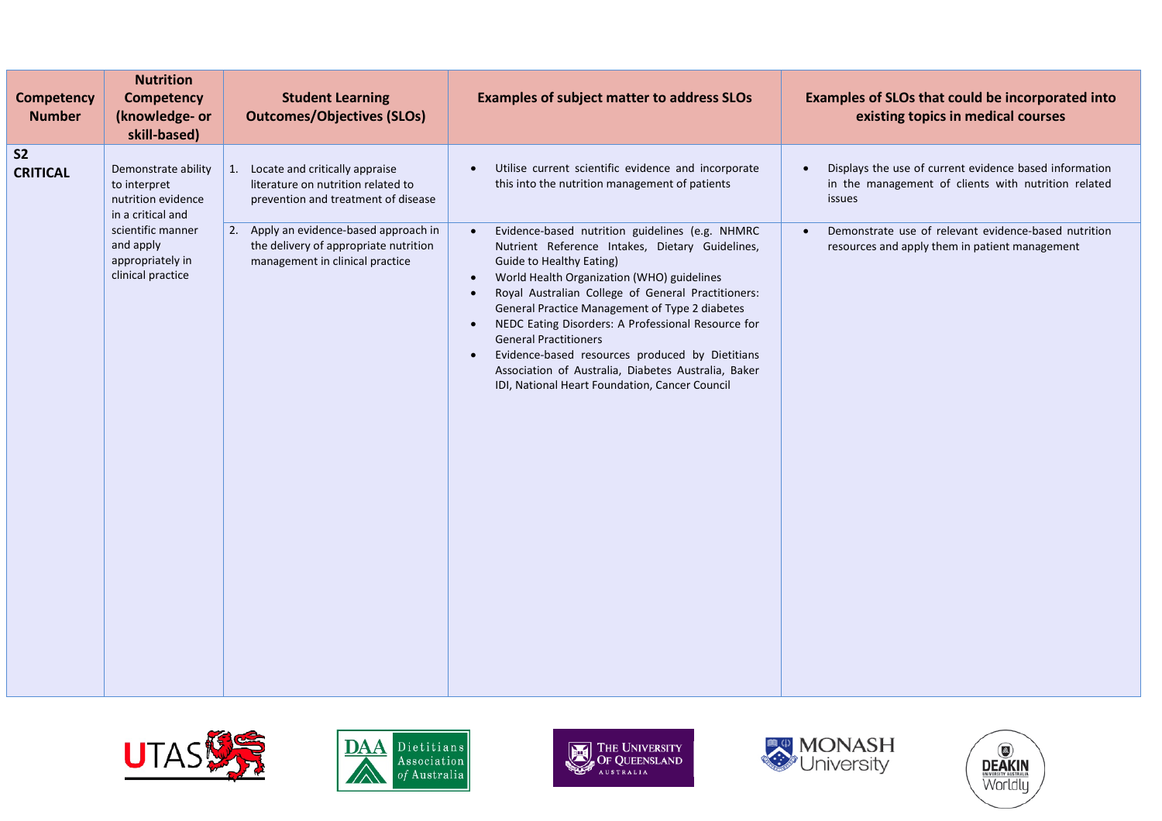| <b>Competency</b><br><b>Number</b> | <b>Nutrition</b><br><b>Competency</b><br>(knowledge- or<br>skill-based)        | <b>Student Learning</b><br><b>Outcomes/Objectives (SLOs)</b>                                                       | <b>Examples of subject matter to address SLOs</b>                                                                                                                                                                                                                                                                                                                                                                                                                                                                                                                                    | Examples of SLOs that could be incorporated into<br>existing topics in medical courses                                  |
|------------------------------------|--------------------------------------------------------------------------------|--------------------------------------------------------------------------------------------------------------------|--------------------------------------------------------------------------------------------------------------------------------------------------------------------------------------------------------------------------------------------------------------------------------------------------------------------------------------------------------------------------------------------------------------------------------------------------------------------------------------------------------------------------------------------------------------------------------------|-------------------------------------------------------------------------------------------------------------------------|
| S <sub>2</sub><br><b>CRITICAL</b>  | Demonstrate ability<br>to interpret<br>nutrition evidence<br>in a critical and | 1. Locate and critically appraise<br>literature on nutrition related to<br>prevention and treatment of disease     | Utilise current scientific evidence and incorporate<br>this into the nutrition management of patients                                                                                                                                                                                                                                                                                                                                                                                                                                                                                | Displays the use of current evidence based information<br>in the management of clients with nutrition related<br>issues |
|                                    | scientific manner<br>and apply<br>appropriately in<br>clinical practice        | 2. Apply an evidence-based approach in<br>the delivery of appropriate nutrition<br>management in clinical practice | Evidence-based nutrition guidelines (e.g. NHMRC<br>Nutrient Reference Intakes, Dietary Guidelines,<br><b>Guide to Healthy Eating)</b><br>World Health Organization (WHO) guidelines<br>Royal Australian College of General Practitioners:<br>$\bullet$<br>General Practice Management of Type 2 diabetes<br>NEDC Eating Disorders: A Professional Resource for<br>$\bullet$<br><b>General Practitioners</b><br>Evidence-based resources produced by Dietitians<br>$\bullet$<br>Association of Australia, Diabetes Australia, Baker<br>IDI, National Heart Foundation, Cancer Council | Demonstrate use of relevant evidence-based nutrition<br>resources and apply them in patient management                  |









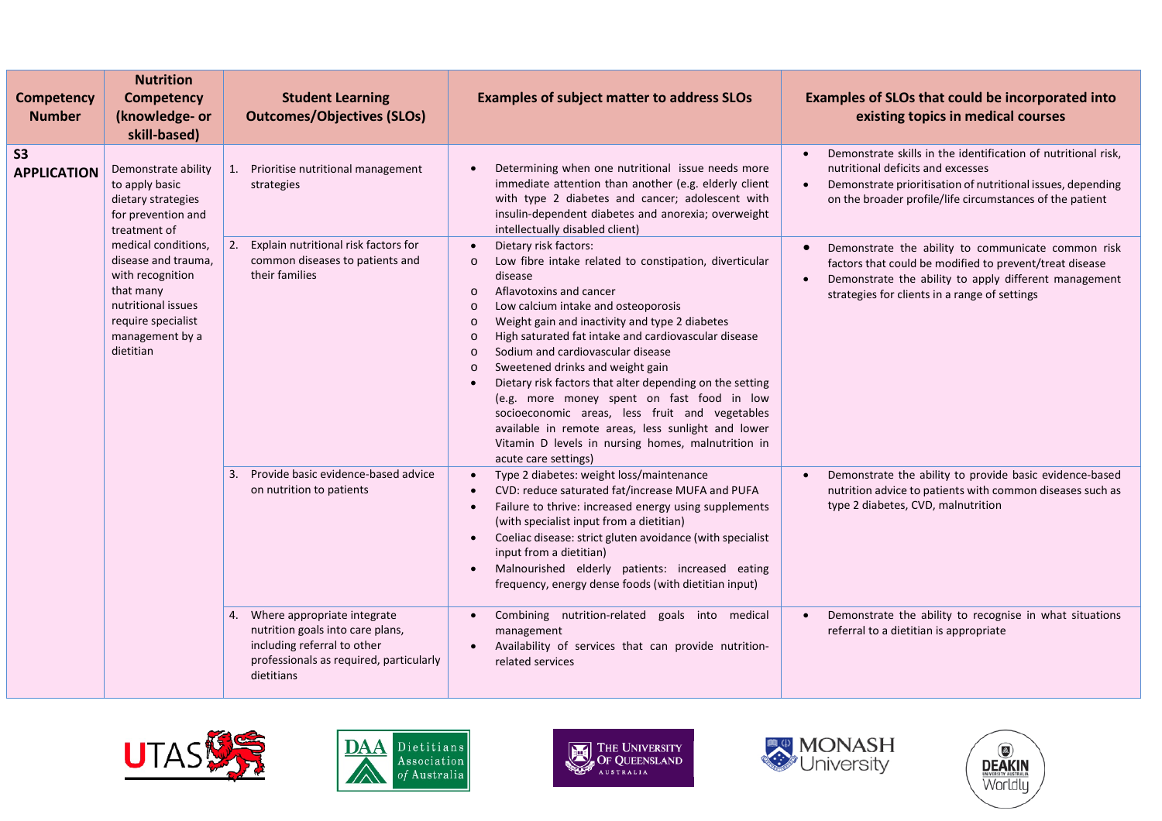| <b>Competency</b><br><b>Number</b> | <b>Nutrition</b><br><b>Competency</b><br>(knowledge- or<br>skill-based)                                                                                                                                                                                      | <b>Student Learning</b><br><b>Outcomes/Objectives (SLOs)</b>                                                                                                  | <b>Examples of subject matter to address SLOs</b>                                                                                                                                                                                                                                                                                                                                                                                                                                                                                                                                                                                                                                                                               | Examples of SLOs that could be incorporated into<br>existing topics in medical courses                                                                                                                                        |
|------------------------------------|--------------------------------------------------------------------------------------------------------------------------------------------------------------------------------------------------------------------------------------------------------------|---------------------------------------------------------------------------------------------------------------------------------------------------------------|---------------------------------------------------------------------------------------------------------------------------------------------------------------------------------------------------------------------------------------------------------------------------------------------------------------------------------------------------------------------------------------------------------------------------------------------------------------------------------------------------------------------------------------------------------------------------------------------------------------------------------------------------------------------------------------------------------------------------------|-------------------------------------------------------------------------------------------------------------------------------------------------------------------------------------------------------------------------------|
| <b>S3</b><br><b>APPLICATION</b>    | Demonstrate ability<br>to apply basic<br>dietary strategies<br>for prevention and<br>treatment of<br>medical conditions,<br>disease and trauma,<br>with recognition<br>that many<br>nutritional issues<br>require specialist<br>management by a<br>dietitian | 1. Prioritise nutritional management<br>strategies                                                                                                            | Determining when one nutritional issue needs more<br>immediate attention than another (e.g. elderly client<br>with type 2 diabetes and cancer; adolescent with<br>insulin-dependent diabetes and anorexia; overweight<br>intellectually disabled client)                                                                                                                                                                                                                                                                                                                                                                                                                                                                        | Demonstrate skills in the identification of nutritional risk,<br>nutritional deficits and excesses<br>Demonstrate prioritisation of nutritional issues, depending<br>on the broader profile/life circumstances of the patient |
|                                    |                                                                                                                                                                                                                                                              | 2. Explain nutritional risk factors for<br>common diseases to patients and<br>their families                                                                  | Dietary risk factors:<br>Low fibre intake related to constipation, diverticular<br>$\circ$<br>disease<br>Aflavotoxins and cancer<br>$\circ$<br>Low calcium intake and osteoporosis<br>$\Omega$<br>Weight gain and inactivity and type 2 diabetes<br>$\Omega$<br>High saturated fat intake and cardiovascular disease<br>$\Omega$<br>Sodium and cardiovascular disease<br>$\circ$<br>Sweetened drinks and weight gain<br>$\circ$<br>Dietary risk factors that alter depending on the setting<br>(e.g. more money spent on fast food in low<br>socioeconomic areas, less fruit and vegetables<br>available in remote areas, less sunlight and lower<br>Vitamin D levels in nursing homes, malnutrition in<br>acute care settings) | Demonstrate the ability to communicate common risk<br>factors that could be modified to prevent/treat disease<br>Demonstrate the ability to apply different management<br>strategies for clients in a range of settings       |
|                                    |                                                                                                                                                                                                                                                              | Provide basic evidence-based advice<br>3.<br>on nutrition to patients                                                                                         | Type 2 diabetes: weight loss/maintenance<br>$\bullet$<br>CVD: reduce saturated fat/increase MUFA and PUFA<br>Failure to thrive: increased energy using supplements<br>(with specialist input from a dietitian)<br>Coeliac disease: strict gluten avoidance (with specialist<br>input from a dietitian)<br>Malnourished elderly patients: increased eating<br>frequency, energy dense foods (with dietitian input)                                                                                                                                                                                                                                                                                                               | Demonstrate the ability to provide basic evidence-based<br>nutrition advice to patients with common diseases such as<br>type 2 diabetes, CVD, malnutrition                                                                    |
|                                    |                                                                                                                                                                                                                                                              | Where appropriate integrate<br>4.<br>nutrition goals into care plans,<br>including referral to other<br>professionals as required, particularly<br>dietitians | Combining nutrition-related goals into medical<br>management<br>Availability of services that can provide nutrition-<br>related services                                                                                                                                                                                                                                                                                                                                                                                                                                                                                                                                                                                        | Demonstrate the ability to recognise in what situations<br>referral to a dietitian is appropriate                                                                                                                             |





**THE UNIVERSITY**<br>OF QUEENSLAND